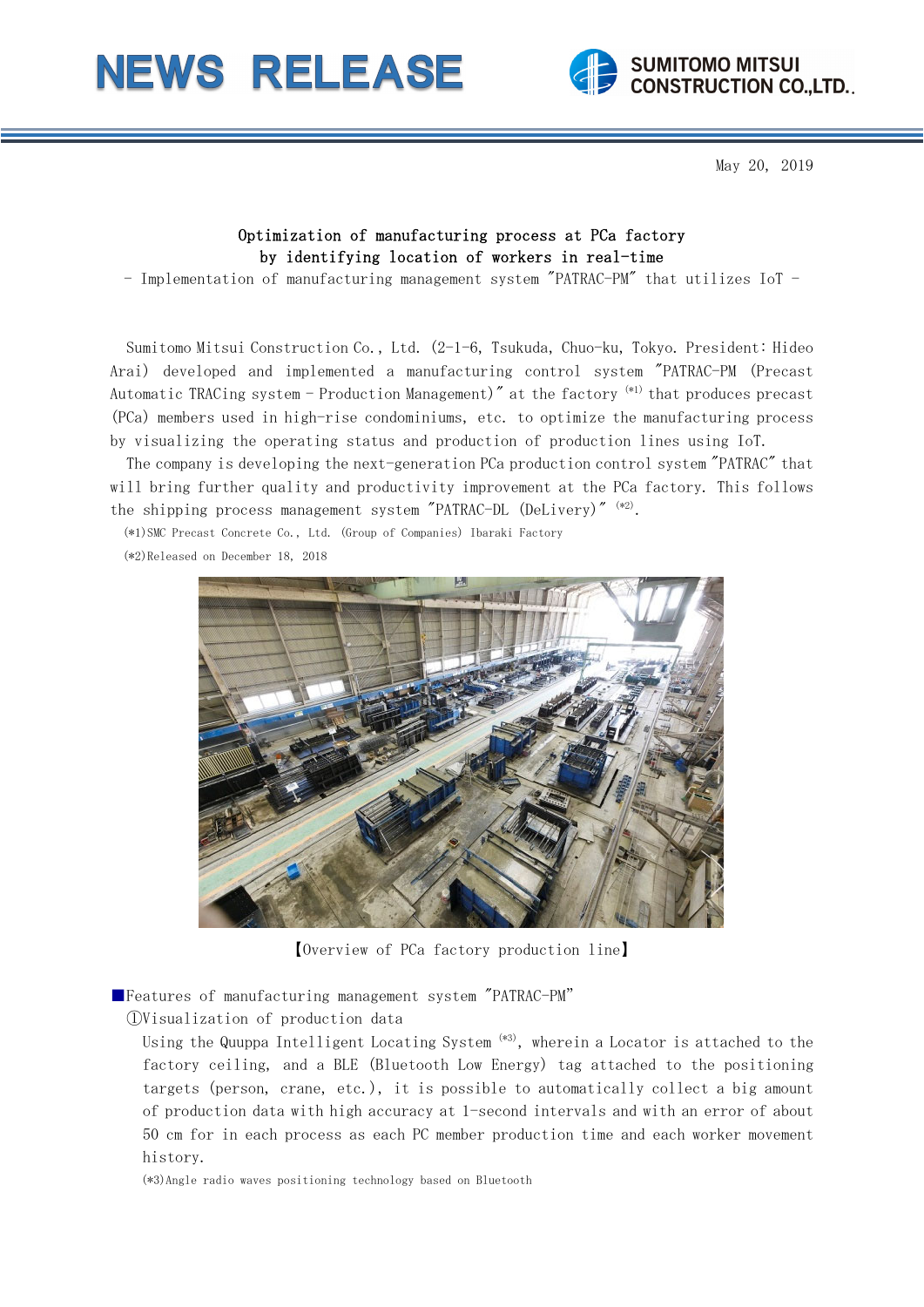



May 20, 2019

## Optimization of manufacturing process at PCa factory by identifying location of workers in real-time

- Implementation of manufacturing management system "PATRAC-PM" that utilizes IoT -

Sumitomo Mitsui Construction Co., Ltd. (2-1-6, Tsukuda, Chuo-ku, Tokyo. President: Hideo Arai) developed and implemented a manufacturing control system "PATRAC-PM (Precast Automatic TRACing system - Production Management)" at the factory <sup>(\*1)</sup> that produces precast (PCa) members used in high-rise condominiums, etc. to optimize the manufacturing process by visualizing the operating status and production of production lines using IoT.

The company is developing the next-generation PCa production control system "PATRAC" that will bring further quality and productivity improvement at the PCa factory. This follows the shipping process management system "PATRAC-DL (DeLivery)" (\*2).

(\*1)SMC Precast Concrete Co., Ltd. (Group of Companies) Ibaraki Factory

(\*2)Released on December 18, 2018



【Overview of PCa factory production line】

■Features of manufacturing management system "PATRAC-PM"

①Visualization of production data

Using the Quuppa Intelligent Locating System  $(*3)$ , wherein a Locator is attached to the factory ceiling, and a BLE (Bluetooth Low Energy) tag attached to the positioning targets (person, crane, etc.), it is possible to automatically collect a big amount of production data with high accuracy at 1-second intervals and with an error of about 50 cm for in each process as each PC member production time and each worker movement history.

(\*3)Angle radio waves positioning technology based on Bluetooth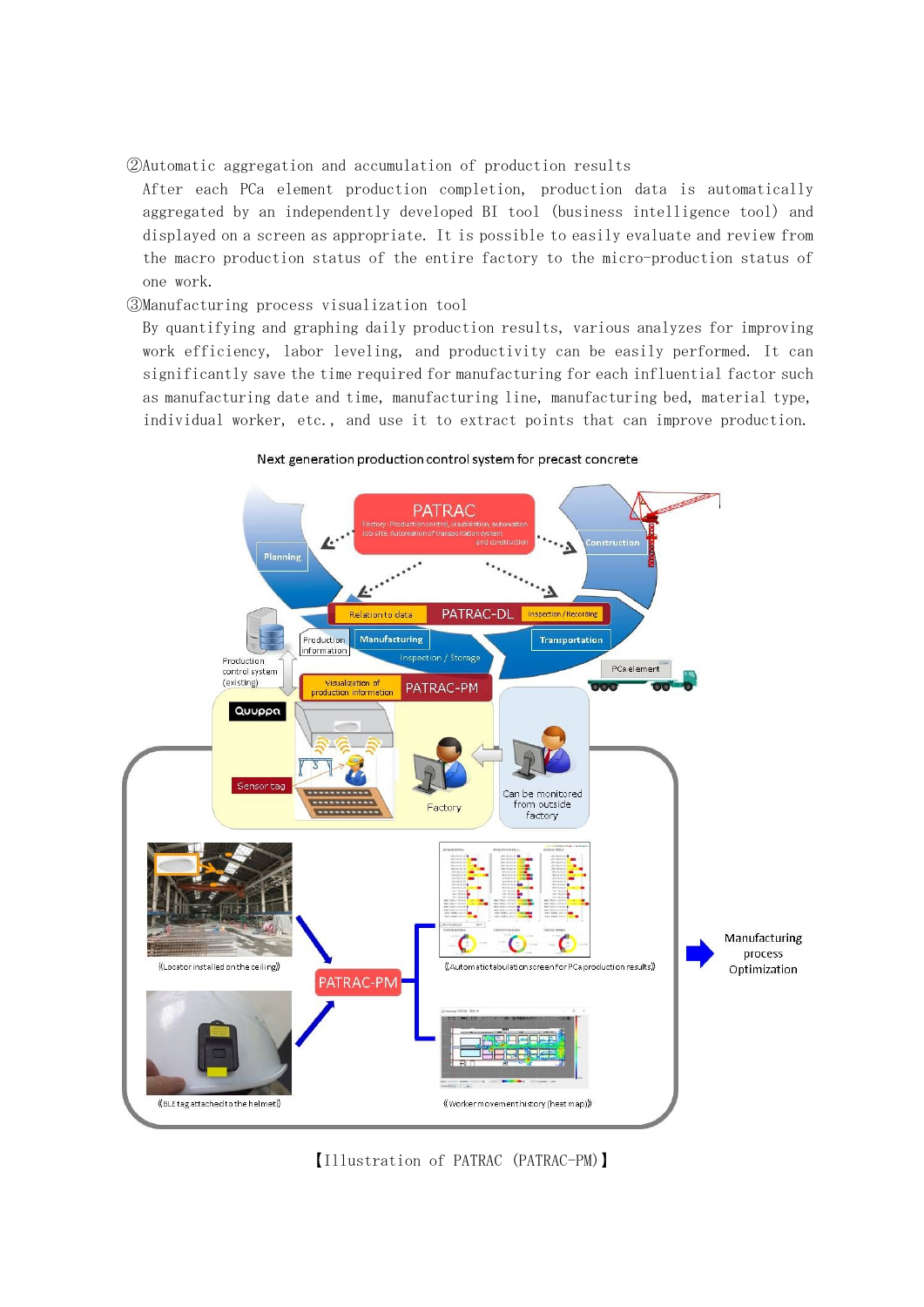②Automatic aggregation and accumulation of production results

After each PCa element production completion, production data is automatically aggregated by an independently developed BI tool (business intelligence tool) and displayed on a screen as appropriate. It is possible to easily evaluate and review from the macro production status of the entire factory to the micro-production status of one work.

## ③Manufacturing process visualization tool

By quantifying and graphing daily production results, various analyzes for improving work efficiency, labor leveling, and productivity can be easily performed. It can significantly save the time required for manufacturing for each influential factor such as manufacturing date and time, manufacturing line, manufacturing bed, material type, individual worker, etc., and use it to extract points that can improve production.



Next generation production control system for precast concrete

【Illustration of PATRAC (PATRAC-PM)】